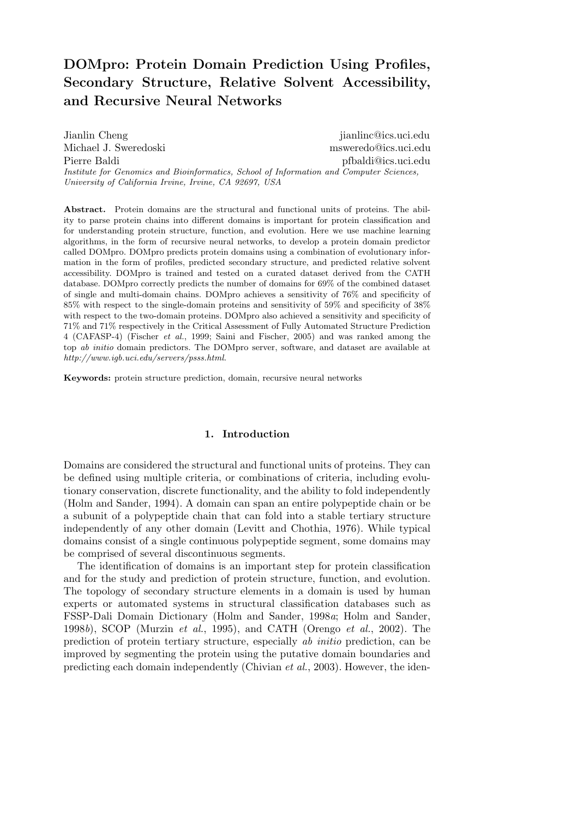# DOMpro: Protein Domain Prediction Using Profiles, Secondary Structure, Relative Solvent Accessibility, and Recursive Neural Networks

Jianlin Cheng jianlinc@ics.uci.edu Michael J. Sweredoski msweredo@ics.uci.edu Pierre Baldi pfbaldi@ics.uci.edu Institute for Genomics and Bioinformatics, School of Information and Computer Sciences, University of California Irvine, Irvine, CA 92697, USA

Abstract. Protein domains are the structural and functional units of proteins. The ability to parse protein chains into different domains is important for protein classification and for understanding protein structure, function, and evolution. Here we use machine learning algorithms, in the form of recursive neural networks, to develop a protein domain predictor called DOMpro. DOMpro predicts protein domains using a combination of evolutionary information in the form of profiles, predicted secondary structure, and predicted relative solvent accessibility. DOMpro is trained and tested on a curated dataset derived from the CATH database. DOMpro correctly predicts the number of domains for 69% of the combined dataset of single and multi-domain chains. DOMpro achieves a sensitivity of 76% and specificity of 85% with respect to the single-domain proteins and sensitivity of 59% and specificity of 38% with respect to the two-domain proteins. DOMpro also achieved a sensitivity and specificity of 71% and 71% respectively in the Critical Assessment of Fully Automated Structure Prediction 4 (CAFASP-4) (Fischer et al., 1999; Saini and Fischer, 2005) and was ranked among the top ab initio domain predictors. The DOMpro server, software, and dataset are available at http://www.igb.uci.edu/servers/psss.html.

Keywords: protein structure prediction, domain, recursive neural networks

# 1. Introduction

Domains are considered the structural and functional units of proteins. They can be defined using multiple criteria, or combinations of criteria, including evolutionary conservation, discrete functionality, and the ability to fold independently (Holm and Sander, 1994). A domain can span an entire polypeptide chain or be a subunit of a polypeptide chain that can fold into a stable tertiary structure independently of any other domain (Levitt and Chothia, 1976). While typical domains consist of a single continuous polypeptide segment, some domains may be comprised of several discontinuous segments.

The identification of domains is an important step for protein classification and for the study and prediction of protein structure, function, and evolution. The topology of secondary structure elements in a domain is used by human experts or automated systems in structural classification databases such as FSSP-Dali Domain Dictionary (Holm and Sander, 1998a; Holm and Sander, 1998b), SCOP (Murzin *et al.*, 1995), and CATH (Orengo *et al.*, 2002). The prediction of protein tertiary structure, especially ab initio prediction, can be improved by segmenting the protein using the putative domain boundaries and predicting each domain independently (Chivian et al., 2003). However, the iden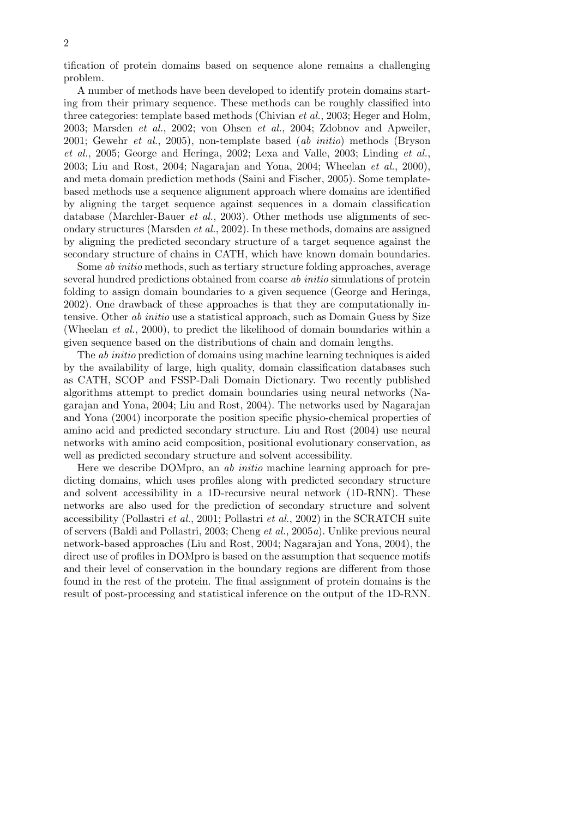tification of protein domains based on sequence alone remains a challenging problem.

A number of methods have been developed to identify protein domains starting from their primary sequence. These methods can be roughly classified into three categories: template based methods (Chivian et al., 2003; Heger and Holm, 2003; Marsden et al., 2002; von Ohsen et al., 2004; Zdobnov and Apweiler, 2001; Gewehr et al., 2005), non-template based (ab initio) methods (Bryson et al., 2005; George and Heringa, 2002; Lexa and Valle, 2003; Linding et al., 2003; Liu and Rost, 2004; Nagarajan and Yona, 2004; Wheelan et al., 2000), and meta domain prediction methods (Saini and Fischer, 2005). Some templatebased methods use a sequence alignment approach where domains are identified by aligning the target sequence against sequences in a domain classification database (Marchler-Bauer et al., 2003). Other methods use alignments of secondary structures (Marsden et al., 2002). In these methods, domains are assigned by aligning the predicted secondary structure of a target sequence against the secondary structure of chains in CATH, which have known domain boundaries.

Some ab initio methods, such as tertiary structure folding approaches, average several hundred predictions obtained from coarse *ab initio* simulations of protein folding to assign domain boundaries to a given sequence (George and Heringa, 2002). One drawback of these approaches is that they are computationally intensive. Other *ab initio* use a statistical approach, such as Domain Guess by Size (Wheelan et al., 2000), to predict the likelihood of domain boundaries within a given sequence based on the distributions of chain and domain lengths.

The ab initio prediction of domains using machine learning techniques is aided by the availability of large, high quality, domain classification databases such as CATH, SCOP and FSSP-Dali Domain Dictionary. Two recently published algorithms attempt to predict domain boundaries using neural networks (Nagarajan and Yona, 2004; Liu and Rost, 2004). The networks used by Nagarajan and Yona (2004) incorporate the position specific physio-chemical properties of amino acid and predicted secondary structure. Liu and Rost (2004) use neural networks with amino acid composition, positional evolutionary conservation, as well as predicted secondary structure and solvent accessibility.

Here we describe DOMpro, an ab initio machine learning approach for predicting domains, which uses profiles along with predicted secondary structure and solvent accessibility in a 1D-recursive neural network (1D-RNN). These networks are also used for the prediction of secondary structure and solvent accessibility (Pollastri et al., 2001; Pollastri et al., 2002) in the SCRATCH suite of servers (Baldi and Pollastri, 2003; Cheng et al., 2005a). Unlike previous neural network-based approaches (Liu and Rost, 2004; Nagarajan and Yona, 2004), the direct use of profiles in DOMpro is based on the assumption that sequence motifs and their level of conservation in the boundary regions are different from those found in the rest of the protein. The final assignment of protein domains is the result of post-processing and statistical inference on the output of the 1D-RNN.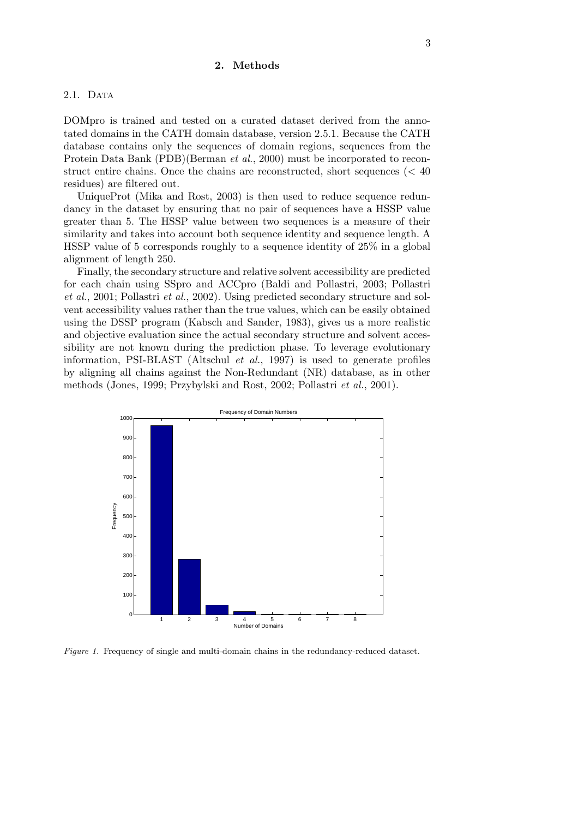# 2. Methods

#### 2.1. DATA

DOMpro is trained and tested on a curated dataset derived from the annotated domains in the CATH domain database, version 2.5.1. Because the CATH database contains only the sequences of domain regions, sequences from the Protein Data Bank (PDB)(Berman et al., 2000) must be incorporated to reconstruct entire chains. Once the chains are reconstructed, short sequences ( $< 40$ ) residues) are filtered out.

UniqueProt (Mika and Rost, 2003) is then used to reduce sequence redundancy in the dataset by ensuring that no pair of sequences have a HSSP value greater than 5. The HSSP value between two sequences is a measure of their similarity and takes into account both sequence identity and sequence length. A HSSP value of 5 corresponds roughly to a sequence identity of 25% in a global alignment of length 250.

Finally, the secondary structure and relative solvent accessibility are predicted for each chain using SSpro and ACCpro (Baldi and Pollastri, 2003; Pollastri et al., 2001; Pollastri et al., 2002). Using predicted secondary structure and solvent accessibility values rather than the true values, which can be easily obtained using the DSSP program (Kabsch and Sander, 1983), gives us a more realistic and objective evaluation since the actual secondary structure and solvent accessibility are not known during the prediction phase. To leverage evolutionary information, PSI-BLAST (Altschul et al., 1997) is used to generate profiles by aligning all chains against the Non-Redundant (NR) database, as in other methods (Jones, 1999; Przybylski and Rost, 2002; Pollastri et al., 2001).



Figure 1. Frequency of single and multi-domain chains in the redundancy-reduced dataset.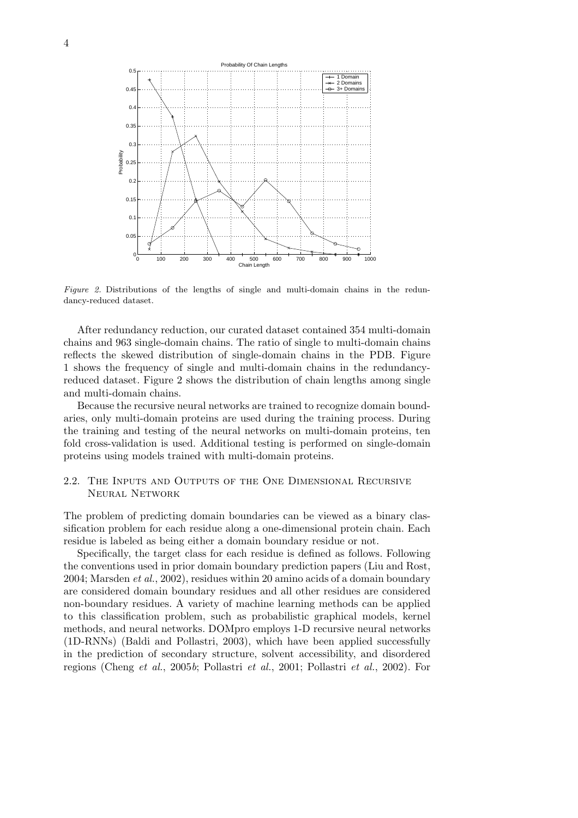

Figure 2. Distributions of the lengths of single and multi-domain chains in the redundancy-reduced dataset.

After redundancy reduction, our curated dataset contained 354 multi-domain chains and 963 single-domain chains. The ratio of single to multi-domain chains reflects the skewed distribution of single-domain chains in the PDB. Figure 1 shows the frequency of single and multi-domain chains in the redundancyreduced dataset. Figure 2 shows the distribution of chain lengths among single and multi-domain chains.

Because the recursive neural networks are trained to recognize domain boundaries, only multi-domain proteins are used during the training process. During the training and testing of the neural networks on multi-domain proteins, ten fold cross-validation is used. Additional testing is performed on single-domain proteins using models trained with multi-domain proteins.

# 2.2. The Inputs and Outputs of the One Dimensional Recursive Neural Network

The problem of predicting domain boundaries can be viewed as a binary classification problem for each residue along a one-dimensional protein chain. Each residue is labeled as being either a domain boundary residue or not.

Specifically, the target class for each residue is defined as follows. Following the conventions used in prior domain boundary prediction papers (Liu and Rost, 2004; Marsden et al., 2002), residues within 20 amino acids of a domain boundary are considered domain boundary residues and all other residues are considered non-boundary residues. A variety of machine learning methods can be applied to this classification problem, such as probabilistic graphical models, kernel methods, and neural networks. DOMpro employs 1-D recursive neural networks (1D-RNNs) (Baldi and Pollastri, 2003), which have been applied successfully in the prediction of secondary structure, solvent accessibility, and disordered regions (Cheng et al., 2005b; Pollastri et al., 2001; Pollastri et al., 2002). For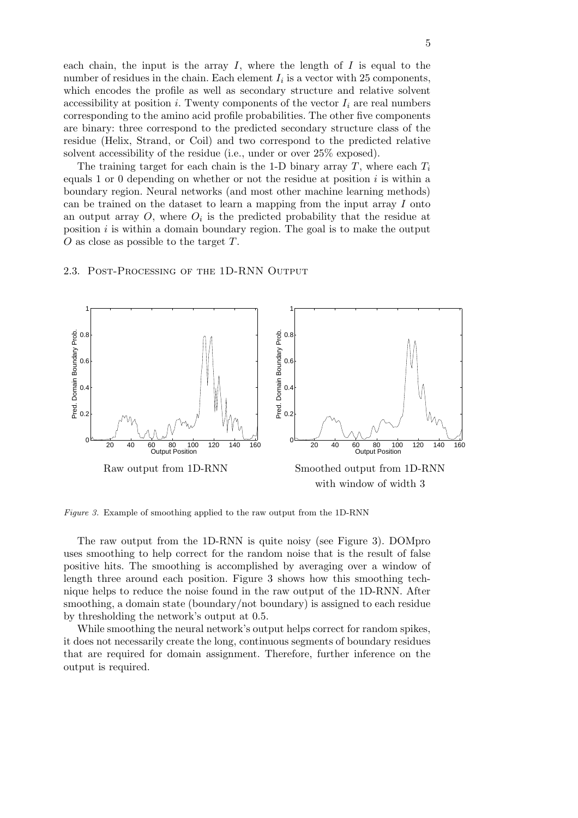each chain, the input is the array  $I$ , where the length of  $I$  is equal to the number of residues in the chain. Each element  $I_i$  is a vector with 25 components, which encodes the profile as well as secondary structure and relative solvent accessibility at position i. Twenty components of the vector  $I_i$  are real numbers corresponding to the amino acid profile probabilities. The other five components are binary: three correspond to the predicted secondary structure class of the residue (Helix, Strand, or Coil) and two correspond to the predicted relative solvent accessibility of the residue (i.e., under or over 25% exposed).

The training target for each chain is the 1-D binary array T, where each  $T_i$ equals 1 or 0 depending on whether or not the residue at position i is within a boundary region. Neural networks (and most other machine learning methods) can be trained on the dataset to learn a mapping from the input array  $I$  onto an output array  $O$ , where  $O_i$  is the predicted probability that the residue at position  $i$  is within a domain boundary region. The goal is to make the output O as close as possible to the target T.

#### 2.3. Post-Processing of the 1D-RNN Output



Figure 3. Example of smoothing applied to the raw output from the 1D-RNN

The raw output from the 1D-RNN is quite noisy (see Figure 3). DOMpro uses smoothing to help correct for the random noise that is the result of false positive hits. The smoothing is accomplished by averaging over a window of length three around each position. Figure 3 shows how this smoothing technique helps to reduce the noise found in the raw output of the 1D-RNN. After smoothing, a domain state (boundary/not boundary) is assigned to each residue by thresholding the network's output at 0.5.

While smoothing the neural network's output helps correct for random spikes, it does not necessarily create the long, continuous segments of boundary residues that are required for domain assignment. Therefore, further inference on the output is required.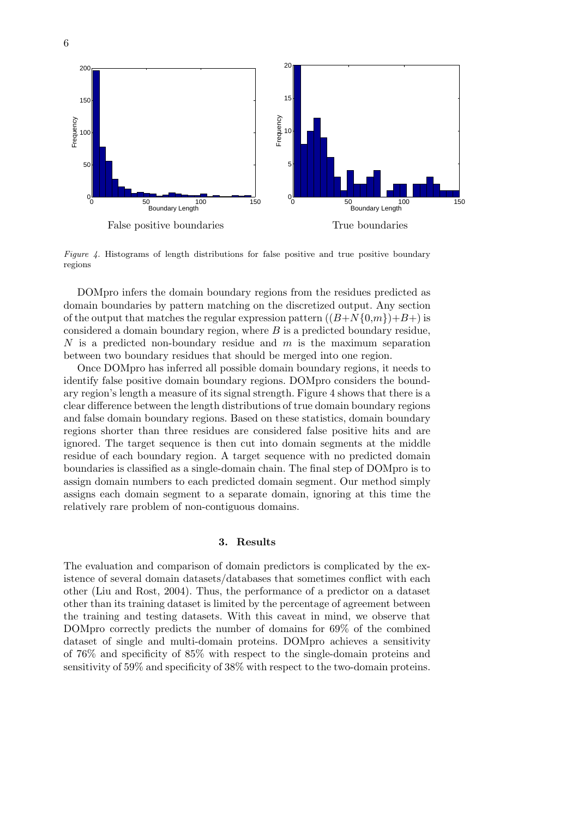

Figure 4. Histograms of length distributions for false positive and true positive boundary regions

DOMpro infers the domain boundary regions from the residues predicted as domain boundaries by pattern matching on the discretized output. Any section of the output that matches the regular expression pattern  $((B+N{0,m})+B+)$  is considered a domain boundary region, where  $B$  is a predicted boundary residue, N is a predicted non-boundary residue and  $m$  is the maximum separation between two boundary residues that should be merged into one region.

Once DOMpro has inferred all possible domain boundary regions, it needs to identify false positive domain boundary regions. DOMpro considers the boundary region's length a measure of its signal strength. Figure 4 shows that there is a clear difference between the length distributions of true domain boundary regions and false domain boundary regions. Based on these statistics, domain boundary regions shorter than three residues are considered false positive hits and are ignored. The target sequence is then cut into domain segments at the middle residue of each boundary region. A target sequence with no predicted domain boundaries is classified as a single-domain chain. The final step of DOMpro is to assign domain numbers to each predicted domain segment. Our method simply assigns each domain segment to a separate domain, ignoring at this time the relatively rare problem of non-contiguous domains.

## 3. Results

The evaluation and comparison of domain predictors is complicated by the existence of several domain datasets/databases that sometimes conflict with each other (Liu and Rost, 2004). Thus, the performance of a predictor on a dataset other than its training dataset is limited by the percentage of agreement between the training and testing datasets. With this caveat in mind, we observe that DOMpro correctly predicts the number of domains for 69% of the combined dataset of single and multi-domain proteins. DOMpro achieves a sensitivity of 76% and specificity of 85% with respect to the single-domain proteins and sensitivity of 59% and specificity of 38% with respect to the two-domain proteins.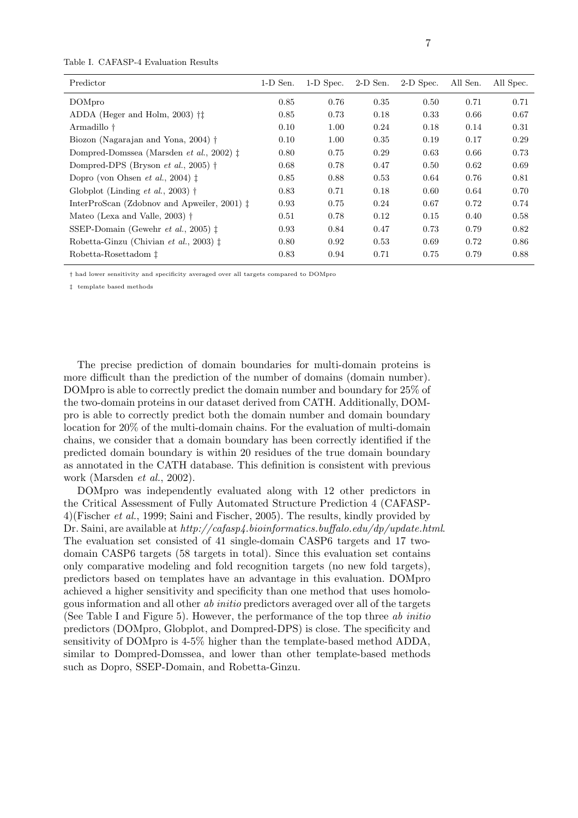| Table I. CAFASP-4 Evaluation Results |  |
|--------------------------------------|--|
|--------------------------------------|--|

| Predictor                                                 | $1-D$ Sen. | 1-D Spec. | $2-D$ Sen. | 2-D Spec. | All Sen. | All Spec. |
|-----------------------------------------------------------|------------|-----------|------------|-----------|----------|-----------|
| DOMpro                                                    | 0.85       | 0.76      | 0.35       | 0.50      | 0.71     | 0.71      |
| ADDA (Heger and Holm, 2003) $\dagger\ddagger$             | 0.85       | 0.73      | 0.18       | 0.33      | 0.66     | 0.67      |
| Armadillo †                                               | 0.10       | 1.00      | 0.24       | 0.18      | 0.14     | 0.31      |
| Biozon (Nagarajan and Yona, 2004) †                       | 0.10       | 1.00      | 0.35       | 0.19      | 0.17     | 0.29      |
| Dompred-Domssea (Marsden <i>et al.</i> , 2002) $\ddagger$ | 0.80       | 0.75      | 0.29       | 0.63      | 0.66     | 0.73      |
| Dompred-DPS (Bryson <i>et al.</i> , 2005) $\dagger$       | 0.68       | 0.78      | 0.47       | 0.50      | 0.62     | 0.69      |
| Dopro (von Ohsen et al., 2004) $\ddagger$                 | 0.85       | 0.88      | 0.53       | 0.64      | 0.76     | 0.81      |
| Globplot (Linding <i>et al.</i> , 2003) $\dagger$         | 0.83       | 0.71      | 0.18       | 0.60      | 0.64     | 0.70      |
| InterProScan (Zdobnov and Apweiler, 2001) $\ddagger$      | 0.93       | 0.75      | 0.24       | 0.67      | 0.72     | 0.74      |
| Mateo (Lexa and Valle, 2003) $\dagger$                    | 0.51       | 0.78      | 0.12       | 0.15      | 0.40     | 0.58      |
| SSEP-Domain (Gewehr <i>et al.</i> , 2005) $\ddagger$      | 0.93       | 0.84      | 0.47       | 0.73      | 0.79     | 0.82      |
| Robetta-Ginzu (Chivian et al., 2003) $\ddagger$           | 0.80       | 0.92      | 0.53       | 0.69      | 0.72     | 0.86      |
| Robetta-Rosettadom <sup>†</sup>                           | 0.83       | 0.94      | 0.71       | 0.75      | 0.79     | 0.88      |

† had lower sensitivity and specificity averaged over all targets compared to DOMpro

‡ template based methods

The precise prediction of domain boundaries for multi-domain proteins is more difficult than the prediction of the number of domains (domain number). DOMpro is able to correctly predict the domain number and boundary for 25% of the two-domain proteins in our dataset derived from CATH. Additionally, DOMpro is able to correctly predict both the domain number and domain boundary location for 20% of the multi-domain chains. For the evaluation of multi-domain chains, we consider that a domain boundary has been correctly identified if the predicted domain boundary is within 20 residues of the true domain boundary as annotated in the CATH database. This definition is consistent with previous work (Marsden et al., 2002).

DOMpro was independently evaluated along with 12 other predictors in the Critical Assessment of Fully Automated Structure Prediction 4 (CAFASP-4)(Fischer et al., 1999; Saini and Fischer, 2005). The results, kindly provided by Dr. Saini, are available at http://cafasp4.bioinformatics.buffalo.edu/dp/update.html. The evaluation set consisted of 41 single-domain CASP6 targets and 17 twodomain CASP6 targets (58 targets in total). Since this evaluation set contains only comparative modeling and fold recognition targets (no new fold targets), predictors based on templates have an advantage in this evaluation. DOMpro achieved a higher sensitivity and specificity than one method that uses homologous information and all other ab initio predictors averaged over all of the targets (See Table I and Figure 5). However, the performance of the top three ab initio predictors (DOMpro, Globplot, and Dompred-DPS) is close. The specificity and sensitivity of DOMpro is 4-5% higher than the template-based method ADDA, similar to Dompred-Domssea, and lower than other template-based methods such as Dopro, SSEP-Domain, and Robetta-Ginzu.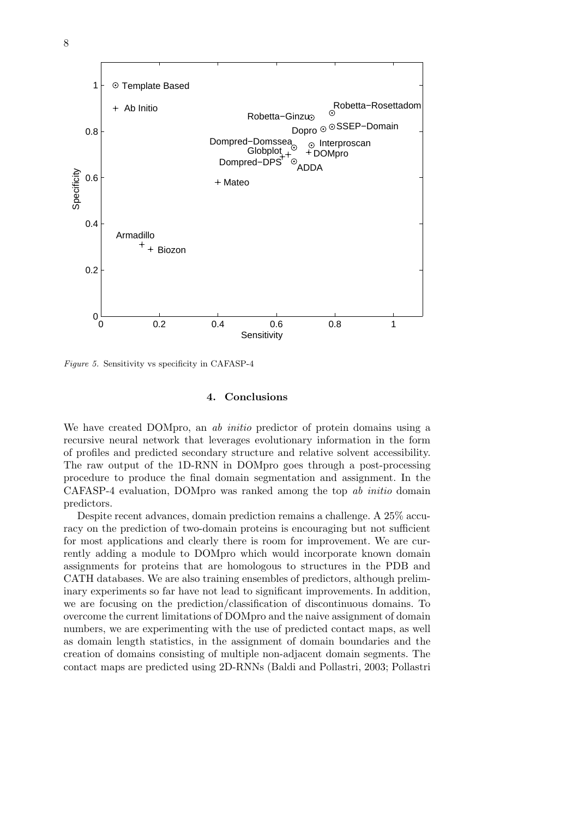

Figure 5. Sensitivity vs specificity in CAFASP-4

## 4. Conclusions

We have created DOMpro, an *ab initio* predictor of protein domains using a recursive neural network that leverages evolutionary information in the form of profiles and predicted secondary structure and relative solvent accessibility. The raw output of the 1D-RNN in DOMpro goes through a post-processing procedure to produce the final domain segmentation and assignment. In the CAFASP-4 evaluation, DOMpro was ranked among the top ab initio domain predictors.

Despite recent advances, domain prediction remains a challenge. A 25% accuracy on the prediction of two-domain proteins is encouraging but not sufficient for most applications and clearly there is room for improvement. We are currently adding a module to DOMpro which would incorporate known domain assignments for proteins that are homologous to structures in the PDB and CATH databases. We are also training ensembles of predictors, although preliminary experiments so far have not lead to significant improvements. In addition, we are focusing on the prediction/classification of discontinuous domains. To overcome the current limitations of DOMpro and the naive assignment of domain numbers, we are experimenting with the use of predicted contact maps, as well as domain length statistics, in the assignment of domain boundaries and the creation of domains consisting of multiple non-adjacent domain segments. The contact maps are predicted using 2D-RNNs (Baldi and Pollastri, 2003; Pollastri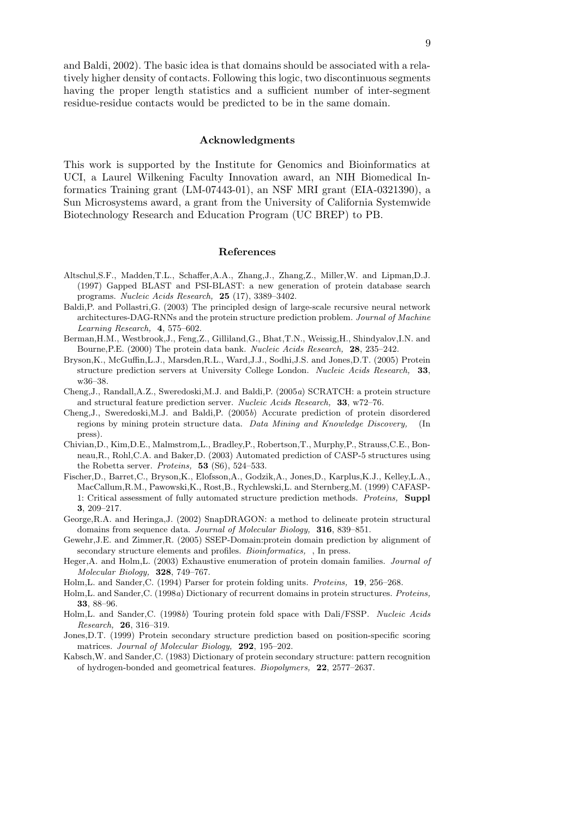and Baldi, 2002). The basic idea is that domains should be associated with a relatively higher density of contacts. Following this logic, two discontinuous segments having the proper length statistics and a sufficient number of inter-segment residue-residue contacts would be predicted to be in the same domain.

#### Acknowledgments

This work is supported by the Institute for Genomics and Bioinformatics at UCI, a Laurel Wilkening Faculty Innovation award, an NIH Biomedical Informatics Training grant (LM-07443-01), an NSF MRI grant (EIA-0321390), a Sun Microsystems award, a grant from the University of California Systemwide Biotechnology Research and Education Program (UC BREP) to PB.

#### References

- Altschul,S.F., Madden,T.L., Schaffer,A.A., Zhang,J., Zhang,Z., Miller,W. and Lipman,D.J. (1997) Gapped BLAST and PSI-BLAST: a new generation of protein database search programs. Nucleic Acids Research, 25 (17), 3389–3402.
- Baldi,P. and Pollastri,G. (2003) The principled design of large-scale recursive neural network architectures-DAG-RNNs and the protein structure prediction problem. Journal of Machine Learning Research, 4, 575–602.
- Berman,H.M., Westbrook,J., Feng,Z., Gilliland,G., Bhat,T.N., Weissig,H., Shindyalov,I.N. and Bourne,P.E. (2000) The protein data bank. Nucleic Acids Research, 28, 235–242.
- Bryson,K., McGuffin,L.J., Marsden,R.L., Ward,J.J., Sodhi,J.S. and Jones,D.T. (2005) Protein structure prediction servers at University College London. Nucleic Acids Research, 33, w36–38.
- Cheng,J., Randall,A.Z., Sweredoski,M.J. and Baldi,P. (2005a) SCRATCH: a protein structure and structural feature prediction server. Nucleic Acids Research, 33, w72–76.
- Cheng,J., Sweredoski,M.J. and Baldi,P. (2005b) Accurate prediction of protein disordered regions by mining protein structure data. Data Mining and Knowledge Discovery, (In press).
- Chivian,D., Kim,D.E., Malmstrom,L., Bradley,P., Robertson,T., Murphy,P., Strauss,C.E., Bonneau,R., Rohl,C.A. and Baker,D. (2003) Automated prediction of CASP-5 structures using the Robetta server. Proteins, 53 (S6), 524–533.
- Fischer,D., Barret,C., Bryson,K., Elofsson,A., Godzik,A., Jones,D., Karplus,K.J., Kelley,L.A., MacCallum,R.M., Pawowski,K., Rost,B., Rychlewski,L. and Sternberg,M. (1999) CAFASP-1: Critical assessment of fully automated structure prediction methods. Proteins, Suppl 3, 209–217.
- George,R.A. and Heringa,J. (2002) SnapDRAGON: a method to delineate protein structural domains from sequence data. Journal of Molecular Biology, 316, 839–851.
- Gewehr,J.E. and Zimmer,R. (2005) SSEP-Domain:protein domain prediction by alignment of secondary structure elements and profiles. *Bioinformatics*, , In press.
- Heger,A. and Holm,L. (2003) Exhaustive enumeration of protein domain families. Journal of Molecular Biology, 328, 749–767.
- Holm,L. and Sander,C. (1994) Parser for protein folding units. Proteins, 19, 256–268.
- Holm,L. and Sander,C. (1998a) Dictionary of recurrent domains in protein structures. Proteins, 33, 88–96.
- Holm,L. and Sander,C. (1998b) Touring protein fold space with Dali/FSSP. Nucleic Acids Research, 26, 316–319.
- Jones,D.T. (1999) Protein secondary structure prediction based on position-specific scoring matrices. Journal of Molecular Biology, 292, 195–202.
- Kabsch,W. and Sander,C. (1983) Dictionary of protein secondary structure: pattern recognition of hydrogen-bonded and geometrical features. Biopolymers, 22, 2577–2637.